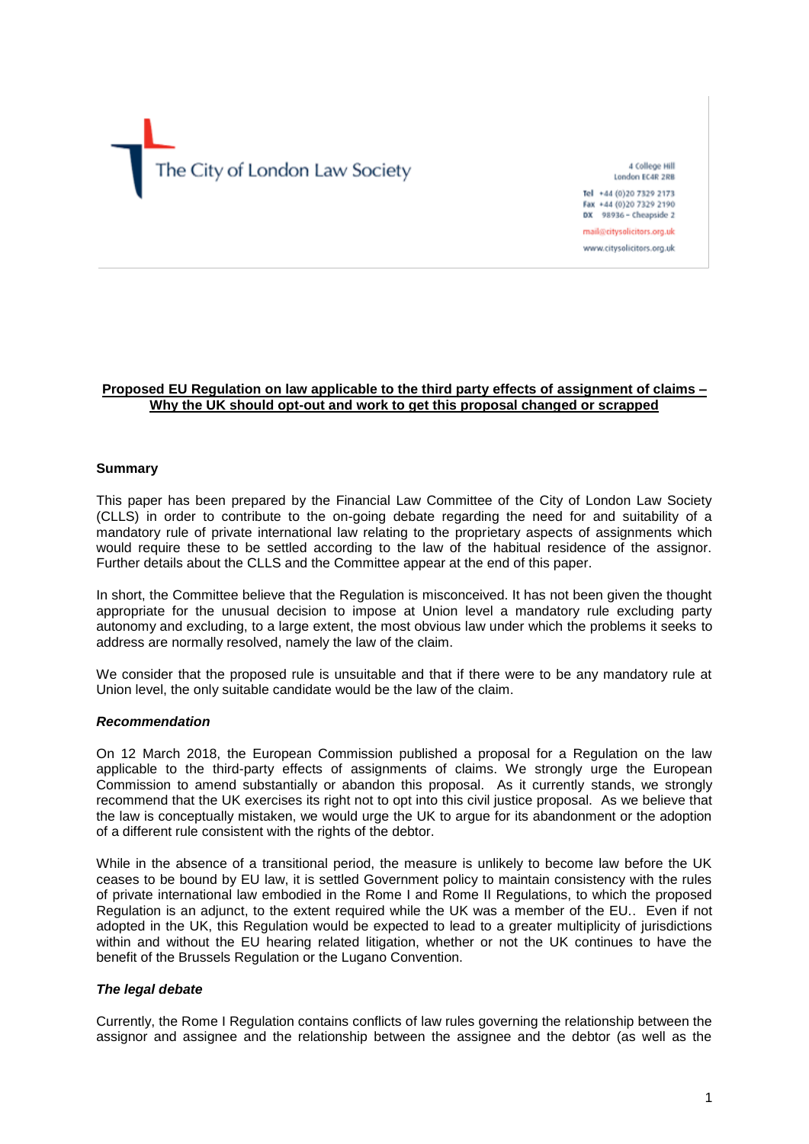

4 College Hill London EC4R 2RB Tel: +44 (0)20 7329 2173

Fax +44 (0)20 7329 2190 DX 98936 - Cheapside 2 mail@citysolicitors.org.uk

www.citysolicitors.org.uk

# **Proposed EU Regulation on law applicable to the third party effects of assignment of claims – Why the UK should opt-out and work to get this proposal changed or scrapped**

#### **Summary**

This paper has been prepared by the Financial Law Committee of the City of London Law Society (CLLS) in order to contribute to the on-going debate regarding the need for and suitability of a mandatory rule of private international law relating to the proprietary aspects of assignments which would require these to be settled according to the law of the habitual residence of the assignor. Further details about the CLLS and the Committee appear at the end of this paper.

In short, the Committee believe that the Regulation is misconceived. It has not been given the thought appropriate for the unusual decision to impose at Union level a mandatory rule excluding party autonomy and excluding, to a large extent, the most obvious law under which the problems it seeks to address are normally resolved, namely the law of the claim.

We consider that the proposed rule is unsuitable and that if there were to be any mandatory rule at Union level, the only suitable candidate would be the law of the claim.

#### *Recommendation*

On 12 March 2018, the European Commission published a proposal for a Regulation on the law applicable to the third-party effects of assignments of claims. We strongly urge the European Commission to amend substantially or abandon this proposal. As it currently stands, we strongly recommend that the UK exercises its right not to opt into this civil justice proposal. As we believe that the law is conceptually mistaken, we would urge the UK to argue for its abandonment or the adoption of a different rule consistent with the rights of the debtor.

While in the absence of a transitional period, the measure is unlikely to become law before the UK ceases to be bound by EU law, it is settled Government policy to maintain consistency with the rules of private international law embodied in the Rome I and Rome II Regulations, to which the proposed Regulation is an adjunct, to the extent required while the UK was a member of the EU.. Even if not adopted in the UK, this Regulation would be expected to lead to a greater multiplicity of jurisdictions within and without the EU hearing related litigation, whether or not the UK continues to have the benefit of the Brussels Regulation or the Lugano Convention.

# *The legal debate*

Currently, the Rome I Regulation contains conflicts of law rules governing the relationship between the assignor and assignee and the relationship between the assignee and the debtor (as well as the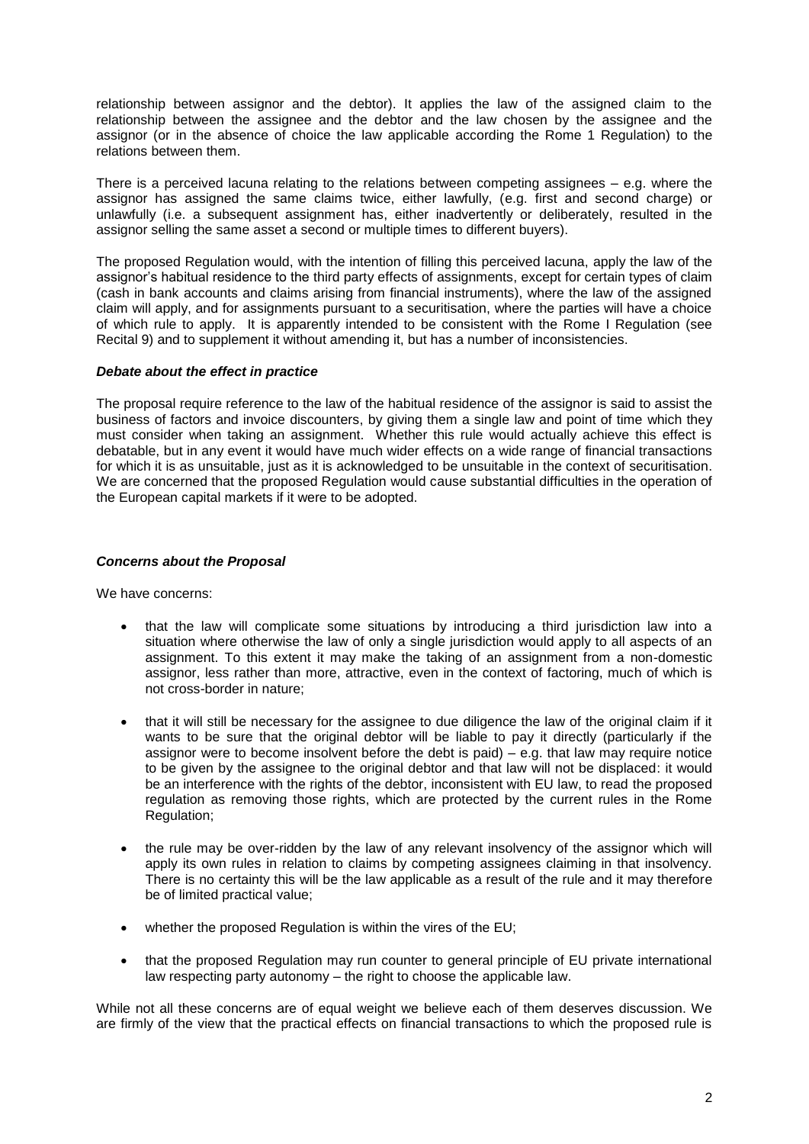relationship between assignor and the debtor). It applies the law of the assigned claim to the relationship between the assignee and the debtor and the law chosen by the assignee and the assignor (or in the absence of choice the law applicable according the Rome 1 Regulation) to the relations between them.

There is a perceived lacuna relating to the relations between competing assignees – e.g. where the assignor has assigned the same claims twice, either lawfully, (e.g. first and second charge) or unlawfully (i.e. a subsequent assignment has, either inadvertently or deliberately, resulted in the assignor selling the same asset a second or multiple times to different buyers).

The proposed Regulation would, with the intention of filling this perceived lacuna, apply the law of the assignor's habitual residence to the third party effects of assignments, except for certain types of claim (cash in bank accounts and claims arising from financial instruments), where the law of the assigned claim will apply, and for assignments pursuant to a securitisation, where the parties will have a choice of which rule to apply. It is apparently intended to be consistent with the Rome I Regulation (see Recital 9) and to supplement it without amending it, but has a number of inconsistencies.

# *Debate about the effect in practice*

The proposal require reference to the law of the habitual residence of the assignor is said to assist the business of factors and invoice discounters, by giving them a single law and point of time which they must consider when taking an assignment. Whether this rule would actually achieve this effect is debatable, but in any event it would have much wider effects on a wide range of financial transactions for which it is as unsuitable, just as it is acknowledged to be unsuitable in the context of securitisation. We are concerned that the proposed Regulation would cause substantial difficulties in the operation of the European capital markets if it were to be adopted.

# *Concerns about the Proposal*

We have concerns:

- that the law will complicate some situations by introducing a third jurisdiction law into a situation where otherwise the law of only a single jurisdiction would apply to all aspects of an assignment. To this extent it may make the taking of an assignment from a non-domestic assignor, less rather than more, attractive, even in the context of factoring, much of which is not cross-border in nature;
- that it will still be necessary for the assignee to due diligence the law of the original claim if it wants to be sure that the original debtor will be liable to pay it directly (particularly if the assignor were to become insolvent before the debt is paid)  $-$  e.g. that law may require notice to be given by the assignee to the original debtor and that law will not be displaced: it would be an interference with the rights of the debtor, inconsistent with EU law, to read the proposed regulation as removing those rights, which are protected by the current rules in the Rome Regulation;
- the rule may be over-ridden by the law of any relevant insolvency of the assignor which will apply its own rules in relation to claims by competing assignees claiming in that insolvency. There is no certainty this will be the law applicable as a result of the rule and it may therefore be of limited practical value;
- whether the proposed Regulation is within the vires of the EU;
- that the proposed Regulation may run counter to general principle of EU private international law respecting party autonomy – the right to choose the applicable law.

While not all these concerns are of equal weight we believe each of them deserves discussion. We are firmly of the view that the practical effects on financial transactions to which the proposed rule is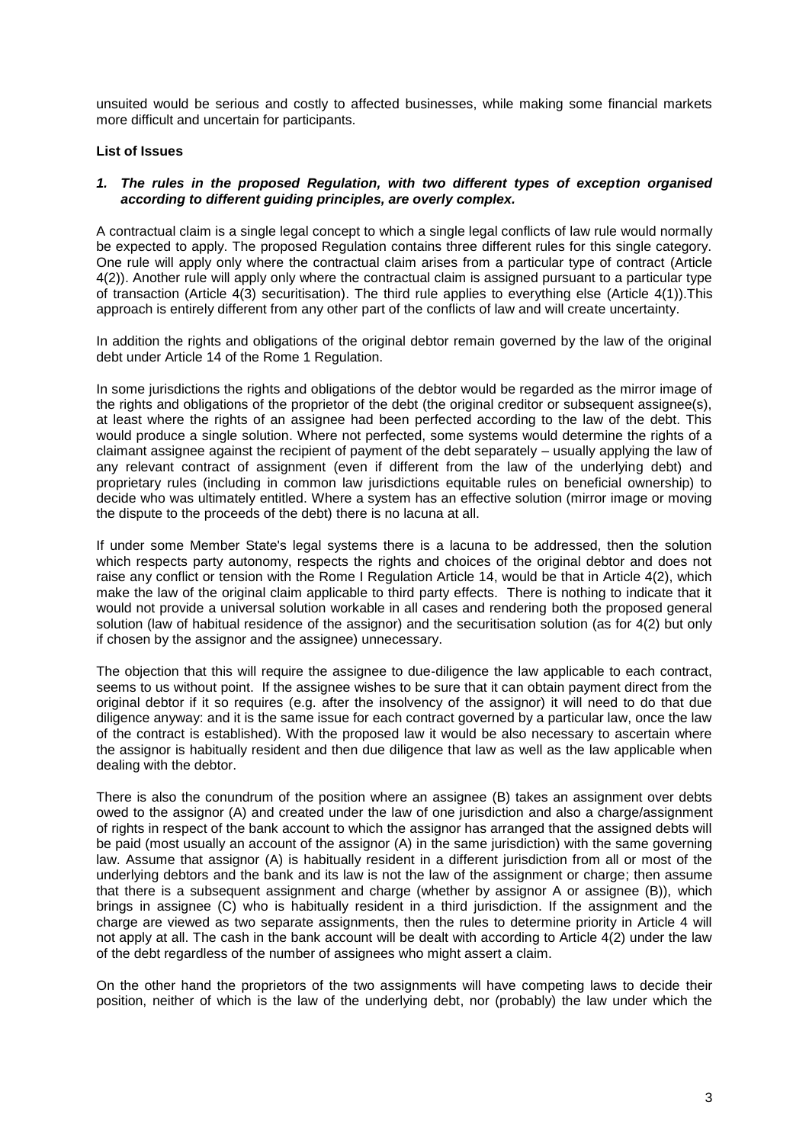unsuited would be serious and costly to affected businesses, while making some financial markets more difficult and uncertain for participants.

# **List of Issues**

## *1. The rules in the proposed Regulation, with two different types of exception organised according to different guiding principles, are overly complex.*

A contractual claim is a single legal concept to which a single legal conflicts of law rule would normally be expected to apply. The proposed Regulation contains three different rules for this single category. One rule will apply only where the contractual claim arises from a particular type of contract (Article 4(2)). Another rule will apply only where the contractual claim is assigned pursuant to a particular type of transaction (Article 4(3) securitisation). The third rule applies to everything else (Article 4(1)).This approach is entirely different from any other part of the conflicts of law and will create uncertainty.

In addition the rights and obligations of the original debtor remain governed by the law of the original debt under Article 14 of the Rome 1 Regulation.

In some jurisdictions the rights and obligations of the debtor would be regarded as the mirror image of the rights and obligations of the proprietor of the debt (the original creditor or subsequent assignee(s), at least where the rights of an assignee had been perfected according to the law of the debt. This would produce a single solution. Where not perfected, some systems would determine the rights of a claimant assignee against the recipient of payment of the debt separately – usually applying the law of any relevant contract of assignment (even if different from the law of the underlying debt) and proprietary rules (including in common law jurisdictions equitable rules on beneficial ownership) to decide who was ultimately entitled. Where a system has an effective solution (mirror image or moving the dispute to the proceeds of the debt) there is no lacuna at all.

If under some Member State's legal systems there is a lacuna to be addressed, then the solution which respects party autonomy, respects the rights and choices of the original debtor and does not raise any conflict or tension with the Rome I Regulation Article 14, would be that in Article 4(2), which make the law of the original claim applicable to third party effects. There is nothing to indicate that it would not provide a universal solution workable in all cases and rendering both the proposed general solution (law of habitual residence of the assignor) and the securitisation solution (as for 4(2) but only if chosen by the assignor and the assignee) unnecessary.

The objection that this will require the assignee to due-diligence the law applicable to each contract, seems to us without point. If the assignee wishes to be sure that it can obtain payment direct from the original debtor if it so requires (e.g. after the insolvency of the assignor) it will need to do that due diligence anyway: and it is the same issue for each contract governed by a particular law, once the law of the contract is established). With the proposed law it would be also necessary to ascertain where the assignor is habitually resident and then due diligence that law as well as the law applicable when dealing with the debtor.

There is also the conundrum of the position where an assignee (B) takes an assignment over debts owed to the assignor (A) and created under the law of one jurisdiction and also a charge/assignment of rights in respect of the bank account to which the assignor has arranged that the assigned debts will be paid (most usually an account of the assignor (A) in the same jurisdiction) with the same governing law. Assume that assignor (A) is habitually resident in a different jurisdiction from all or most of the underlying debtors and the bank and its law is not the law of the assignment or charge; then assume that there is a subsequent assignment and charge (whether by assignor A or assignee (B)), which brings in assignee (C) who is habitually resident in a third jurisdiction. If the assignment and the charge are viewed as two separate assignments, then the rules to determine priority in Article 4 will not apply at all. The cash in the bank account will be dealt with according to Article 4(2) under the law of the debt regardless of the number of assignees who might assert a claim.

On the other hand the proprietors of the two assignments will have competing laws to decide their position, neither of which is the law of the underlying debt, nor (probably) the law under which the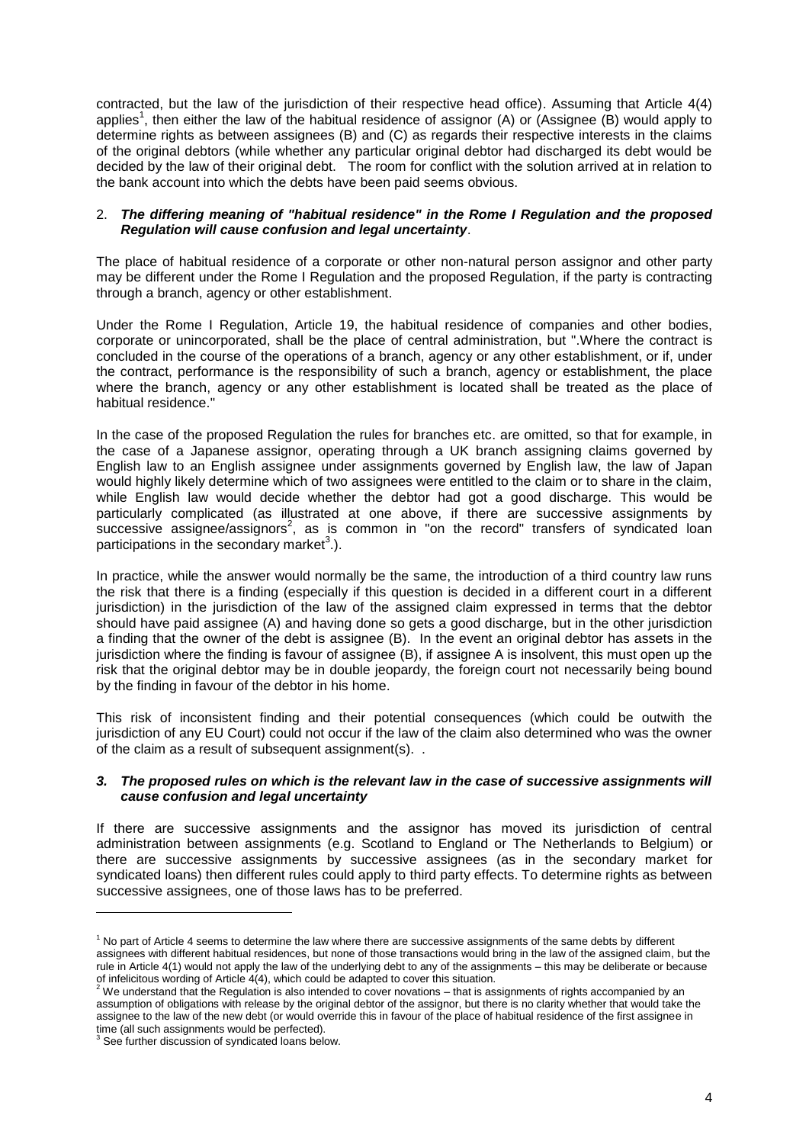contracted, but the law of the jurisdiction of their respective head office). Assuming that Article 4(4) applies<sup>1</sup>, then either the law of the habitual residence of assignor (A) or (Assignee (B) would apply to determine rights as between assignees (B) and (C) as regards their respective interests in the claims of the original debtors (while whether any particular original debtor had discharged its debt would be decided by the law of their original debt. The room for conflict with the solution arrived at in relation to the bank account into which the debts have been paid seems obvious.

## 2. *The differing meaning of "habitual residence" in the Rome I Regulation and the proposed Regulation will cause confusion and legal uncertainty*.

The place of habitual residence of a corporate or other non-natural person assignor and other party may be different under the Rome I Regulation and the proposed Regulation, if the party is contracting through a branch, agency or other establishment.

Under the Rome I Regulation, Article 19, the habitual residence of companies and other bodies, corporate or unincorporated, shall be the place of central administration, but ".Where the contract is concluded in the course of the operations of a branch, agency or any other establishment, or if, under the contract, performance is the responsibility of such a branch, agency or establishment, the place where the branch, agency or any other establishment is located shall be treated as the place of habitual residence."

In the case of the proposed Regulation the rules for branches etc. are omitted, so that for example, in the case of a Japanese assignor, operating through a UK branch assigning claims governed by English law to an English assignee under assignments governed by English law, the law of Japan would highly likely determine which of two assignees were entitled to the claim or to share in the claim, while English law would decide whether the debtor had got a good discharge. This would be particularly complicated (as illustrated at one above, if there are successive assignments by successive assignee/assignors<sup>2</sup>, as is common in "on the record" transfers of syndicated loan participations in the secondary market<sup>3</sup>.).

In practice, while the answer would normally be the same, the introduction of a third country law runs the risk that there is a finding (especially if this question is decided in a different court in a different jurisdiction) in the jurisdiction of the law of the assigned claim expressed in terms that the debtor should have paid assignee (A) and having done so gets a good discharge, but in the other jurisdiction a finding that the owner of the debt is assignee (B). In the event an original debtor has assets in the jurisdiction where the finding is favour of assignee (B), if assignee A is insolvent, this must open up the risk that the original debtor may be in double jeopardy, the foreign court not necessarily being bound by the finding in favour of the debtor in his home.

This risk of inconsistent finding and their potential consequences (which could be outwith the jurisdiction of any EU Court) could not occur if the law of the claim also determined who was the owner of the claim as a result of subsequent assignment(s). .

### *3. The proposed rules on which is the relevant law in the case of successive assignments will cause confusion and legal uncertainty*

If there are successive assignments and the assignor has moved its jurisdiction of central administration between assignments (e.g. Scotland to England or The Netherlands to Belgium) or there are successive assignments by successive assignees (as in the secondary market for syndicated loans) then different rules could apply to third party effects. To determine rights as between successive assignees, one of those laws has to be preferred.

l

 $1$  No part of Article 4 seems to determine the law where there are successive assignments of the same debts by different assignees with different habitual residences, but none of those transactions would bring in the law of the assigned claim, but the rule in Article 4(1) would not apply the law of the underlying debt to any of the assignments – this may be deliberate or because

of infelicitous wording of Article 4(4), which could be adapted to cover this situation.<br><sup>2</sup> We understand that the Regulation is also intended to cover novations – that is assignments of rights accompanied by an assumption of obligations with release by the original debtor of the assignor, but there is no clarity whether that would take the assignee to the law of the new debt (or would override this in favour of the place of habitual residence of the first assignee in time (all such assignments would be perfected).

<sup>&</sup>lt;sup>3</sup> See further discussion of syndicated loans below.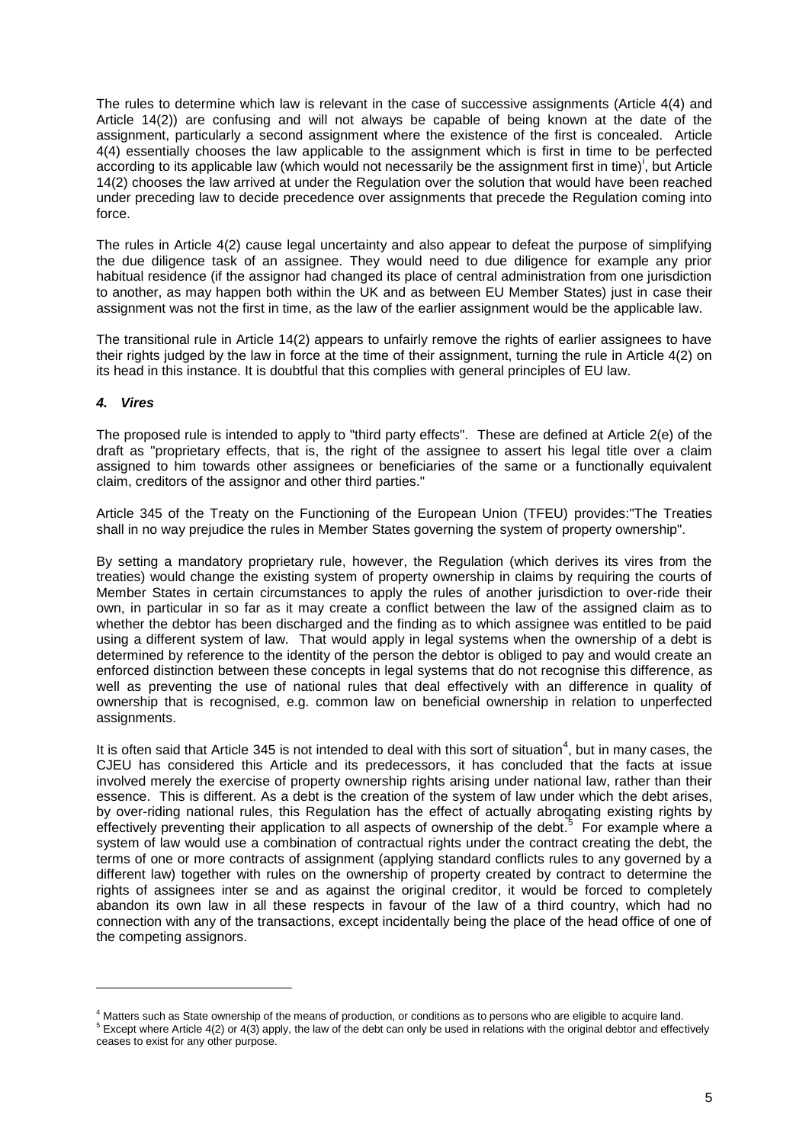The rules to determine which law is relevant in the case of successive assignments (Article 4(4) and Article 14(2)) are confusing and will not always be capable of being known at the date of the assignment, particularly a second assignment where the existence of the first is concealed. Article 4(4) essentially chooses the law applicable to the assignment which is first in time to be perfected according to its applicable law (which would not necessarily be the assignment first in time)<sup>1</sup>, but Article 14(2) chooses the law arrived at under the Regulation over the solution that would have been reached under preceding law to decide precedence over assignments that precede the Regulation coming into force.

The rules in Article 4(2) cause legal uncertainty and also appear to defeat the purpose of simplifying the due diligence task of an assignee. They would need to due diligence for example any prior habitual residence (if the assignor had changed its place of central administration from one jurisdiction to another, as may happen both within the UK and as between EU Member States) just in case their assignment was not the first in time, as the law of the earlier assignment would be the applicable law.

The transitional rule in Article 14(2) appears to unfairly remove the rights of earlier assignees to have their rights judged by the law in force at the time of their assignment, turning the rule in Article 4(2) on its head in this instance. It is doubtful that this complies with general principles of EU law.

# *4. Vires*

l

The proposed rule is intended to apply to "third party effects". These are defined at Article 2(e) of the draft as "proprietary effects, that is, the right of the assignee to assert his legal title over a claim assigned to him towards other assignees or beneficiaries of the same or a functionally equivalent claim, creditors of the assignor and other third parties."

Article 345 of the Treaty on the Functioning of the European Union (TFEU) provides:"The Treaties shall in no way prejudice the rules in Member States governing the system of property ownership".

By setting a mandatory proprietary rule, however, the Regulation (which derives its vires from the treaties) would change the existing system of property ownership in claims by requiring the courts of Member States in certain circumstances to apply the rules of another jurisdiction to over-ride their own, in particular in so far as it may create a conflict between the law of the assigned claim as to whether the debtor has been discharged and the finding as to which assignee was entitled to be paid using a different system of law. That would apply in legal systems when the ownership of a debt is determined by reference to the identity of the person the debtor is obliged to pay and would create an enforced distinction between these concepts in legal systems that do not recognise this difference, as well as preventing the use of national rules that deal effectively with an difference in quality of ownership that is recognised, e.g. common law on beneficial ownership in relation to unperfected assignments.

It is often said that Article 345 is not intended to deal with this sort of situation<sup>4</sup>, but in many cases, the CJEU has considered this Article and its predecessors, it has concluded that the facts at issue involved merely the exercise of property ownership rights arising under national law, rather than their essence. This is different. As a debt is the creation of the system of law under which the debt arises, by over-riding national rules, this Regulation has the effect of actually abrogating existing rights by effectively preventing their application to all aspects of ownership of the debt.<sup>5</sup> For example where a system of law would use a combination of contractual rights under the contract creating the debt, the terms of one or more contracts of assignment (applying standard conflicts rules to any governed by a different law) together with rules on the ownership of property created by contract to determine the rights of assignees inter se and as against the original creditor, it would be forced to completely abandon its own law in all these respects in favour of the law of a third country, which had no connection with any of the transactions, except incidentally being the place of the head office of one of the competing assignors.

<sup>&</sup>lt;sup>4</sup> Matters such as State ownership of the means of production, or conditions as to persons who are eligible to acquire land.

<sup>&</sup>lt;sup>5</sup> Except where Article 4(2) or 4(3) apply, the law of the debt can only be used in relations with the original debtor and effectively ceases to exist for any other purpose.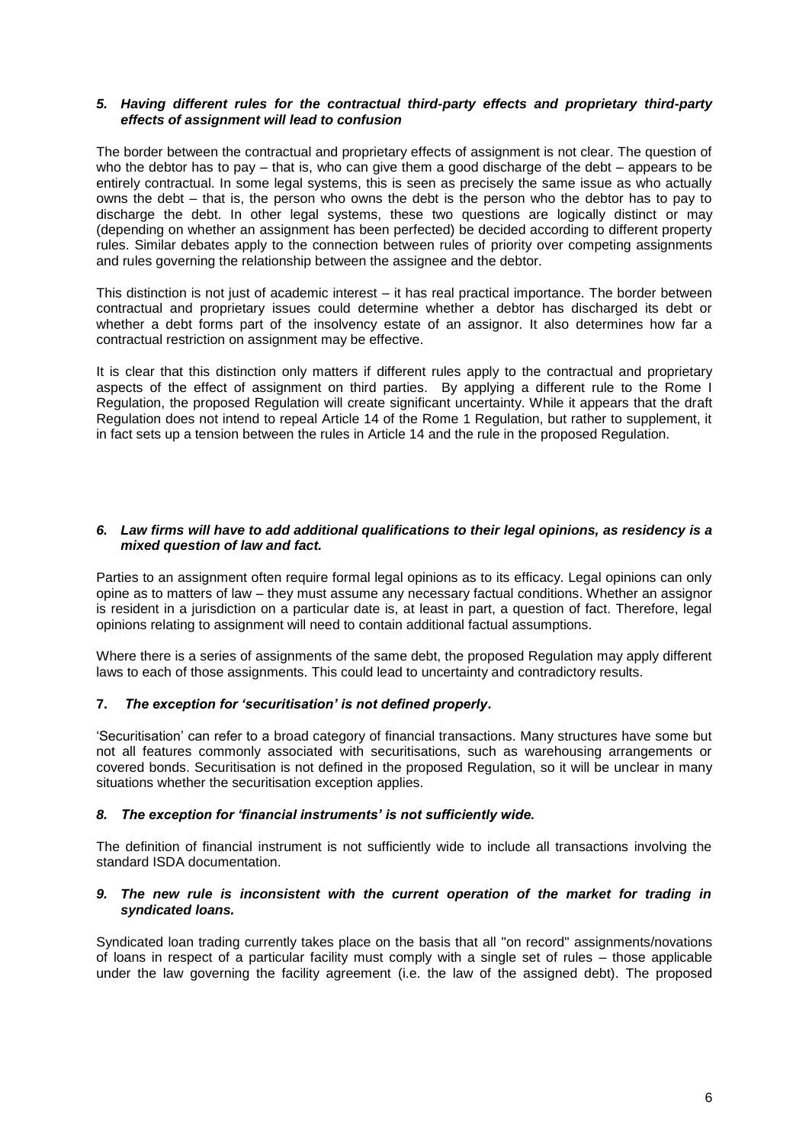# *5. Having different rules for the contractual third-party effects and proprietary third-party effects of assignment will lead to confusion*

The border between the contractual and proprietary effects of assignment is not clear. The question of who the debtor has to pay – that is, who can give them a good discharge of the debt – appears to be entirely contractual. In some legal systems, this is seen as precisely the same issue as who actually owns the debt – that is, the person who owns the debt is the person who the debtor has to pay to discharge the debt. In other legal systems, these two questions are logically distinct or may (depending on whether an assignment has been perfected) be decided according to different property rules. Similar debates apply to the connection between rules of priority over competing assignments and rules governing the relationship between the assignee and the debtor.

This distinction is not just of academic interest – it has real practical importance. The border between contractual and proprietary issues could determine whether a debtor has discharged its debt or whether a debt forms part of the insolvency estate of an assignor. It also determines how far a contractual restriction on assignment may be effective.

It is clear that this distinction only matters if different rules apply to the contractual and proprietary aspects of the effect of assignment on third parties. By applying a different rule to the Rome I Regulation, the proposed Regulation will create significant uncertainty. While it appears that the draft Regulation does not intend to repeal Article 14 of the Rome 1 Regulation, but rather to supplement, it in fact sets up a tension between the rules in Article 14 and the rule in the proposed Regulation.

# *6. Law firms will have to add additional qualifications to their legal opinions, as residency is a mixed question of law and fact.*

Parties to an assignment often require formal legal opinions as to its efficacy. Legal opinions can only opine as to matters of law – they must assume any necessary factual conditions. Whether an assignor is resident in a jurisdiction on a particular date is, at least in part, a question of fact. Therefore, legal opinions relating to assignment will need to contain additional factual assumptions.

Where there is a series of assignments of the same debt, the proposed Regulation may apply different laws to each of those assignments. This could lead to uncertainty and contradictory results.

# **7.** *The exception for 'securitisation' is not defined properly***.**

'Securitisation' can refer to a broad category of financial transactions. Many structures have some but not all features commonly associated with securitisations, such as warehousing arrangements or covered bonds. Securitisation is not defined in the proposed Regulation, so it will be unclear in many situations whether the securitisation exception applies.

### *8. The exception for 'financial instruments' is not sufficiently wide.*

The definition of financial instrument is not sufficiently wide to include all transactions involving the standard ISDA documentation.

### *9. The new rule is inconsistent with the current operation of the market for trading in syndicated loans.*

Syndicated loan trading currently takes place on the basis that all "on record" assignments/novations of loans in respect of a particular facility must comply with a single set of rules – those applicable under the law governing the facility agreement (i.e. the law of the assigned debt). The proposed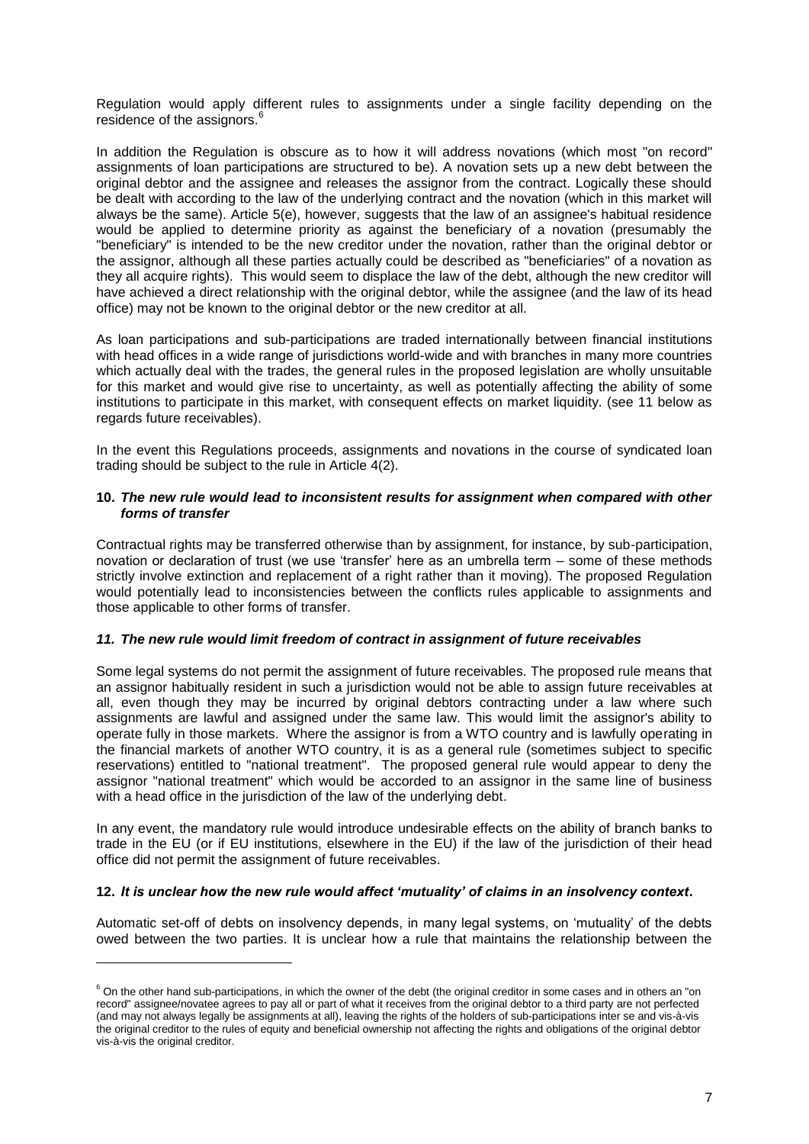Regulation would apply different rules to assignments under a single facility depending on the residence of the assignors.<sup>6</sup>

In addition the Regulation is obscure as to how it will address novations (which most "on record" assignments of loan participations are structured to be). A novation sets up a new debt between the original debtor and the assignee and releases the assignor from the contract. Logically these should be dealt with according to the law of the underlying contract and the novation (which in this market will always be the same). Article 5(e), however, suggests that the law of an assignee's habitual residence would be applied to determine priority as against the beneficiary of a novation (presumably the "beneficiary" is intended to be the new creditor under the novation, rather than the original debtor or the assignor, although all these parties actually could be described as "beneficiaries" of a novation as they all acquire rights). This would seem to displace the law of the debt, although the new creditor will have achieved a direct relationship with the original debtor, while the assignee (and the law of its head office) may not be known to the original debtor or the new creditor at all.

As loan participations and sub-participations are traded internationally between financial institutions with head offices in a wide range of jurisdictions world-wide and with branches in many more countries which actually deal with the trades, the general rules in the proposed legislation are wholly unsuitable for this market and would give rise to uncertainty, as well as potentially affecting the ability of some institutions to participate in this market, with consequent effects on market liquidity. (see 11 below as regards future receivables).

In the event this Regulations proceeds, assignments and novations in the course of syndicated loan trading should be subject to the rule in Article 4(2).

### **10.** *The new rule would lead to inconsistent results for assignment when compared with other forms of transfer*

Contractual rights may be transferred otherwise than by assignment, for instance, by sub-participation, novation or declaration of trust (we use 'transfer' here as an umbrella term – some of these methods strictly involve extinction and replacement of a right rather than it moving). The proposed Regulation would potentially lead to inconsistencies between the conflicts rules applicable to assignments and those applicable to other forms of transfer.

### *11. The new rule would limit freedom of contract in assignment of future receivables*

Some legal systems do not permit the assignment of future receivables. The proposed rule means that an assignor habitually resident in such a jurisdiction would not be able to assign future receivables at all, even though they may be incurred by original debtors contracting under a law where such assignments are lawful and assigned under the same law. This would limit the assignor's ability to operate fully in those markets. Where the assignor is from a WTO country and is lawfully operating in the financial markets of another WTO country, it is as a general rule (sometimes subject to specific reservations) entitled to "national treatment". The proposed general rule would appear to deny the assignor "national treatment" which would be accorded to an assignor in the same line of business with a head office in the jurisdiction of the law of the underlying debt.

In any event, the mandatory rule would introduce undesirable effects on the ability of branch banks to trade in the EU (or if EU institutions, elsewhere in the EU) if the law of the jurisdiction of their head office did not permit the assignment of future receivables.

### **12.** *It is unclear how the new rule would affect 'mutuality' of claims in an insolvency context***.**

l

Automatic set-off of debts on insolvency depends, in many legal systems, on 'mutuality' of the debts owed between the two parties. It is unclear how a rule that maintains the relationship between the

 $6$  On the other hand sub-participations, in which the owner of the debt (the original creditor in some cases and in others an "on record" assignee/novatee agrees to pay all or part of what it receives from the original debtor to a third party are not perfected (and may not always legally be assignments at all), leaving the rights of the holders of sub-participations inter se and vis-à-vis the original creditor to the rules of equity and beneficial ownership not affecting the rights and obligations of the original debtor vis-à-vis the original creditor.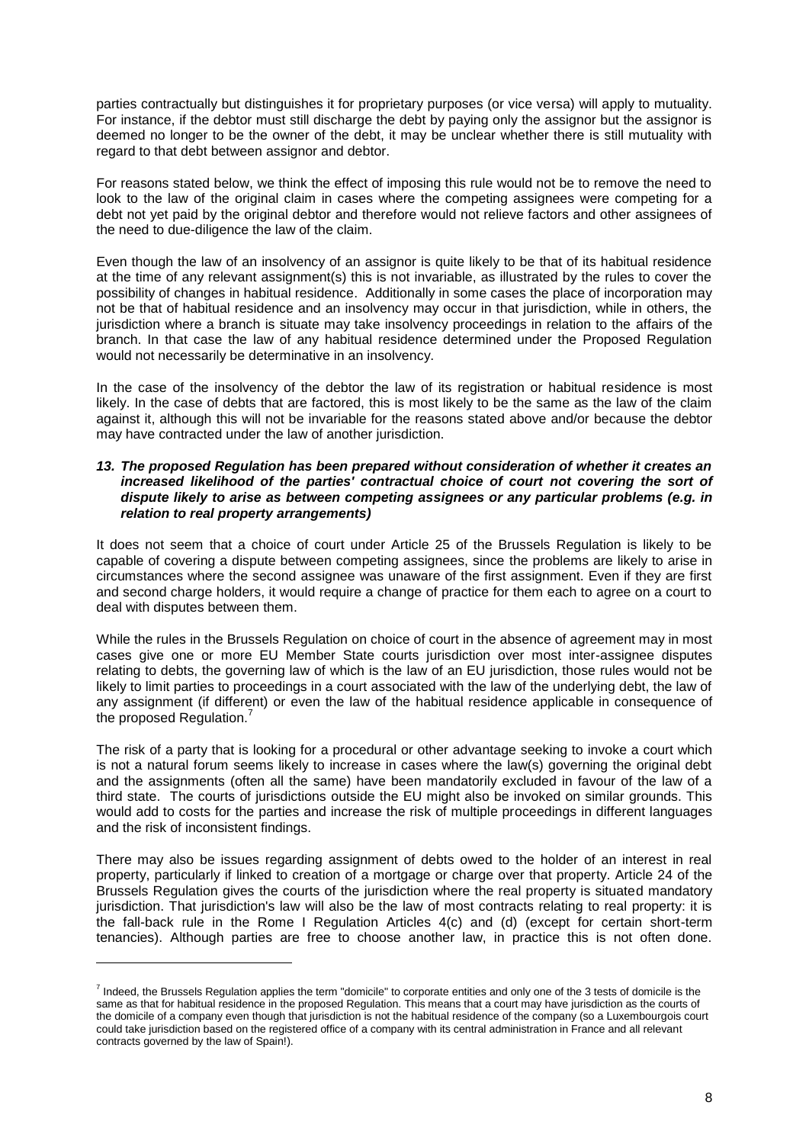parties contractually but distinguishes it for proprietary purposes (or vice versa) will apply to mutuality. For instance, if the debtor must still discharge the debt by paying only the assignor but the assignor is deemed no longer to be the owner of the debt, it may be unclear whether there is still mutuality with regard to that debt between assignor and debtor.

For reasons stated below, we think the effect of imposing this rule would not be to remove the need to look to the law of the original claim in cases where the competing assignees were competing for a debt not yet paid by the original debtor and therefore would not relieve factors and other assignees of the need to due-diligence the law of the claim.

Even though the law of an insolvency of an assignor is quite likely to be that of its habitual residence at the time of any relevant assignment(s) this is not invariable, as illustrated by the rules to cover the possibility of changes in habitual residence. Additionally in some cases the place of incorporation may not be that of habitual residence and an insolvency may occur in that jurisdiction, while in others, the jurisdiction where a branch is situate may take insolvency proceedings in relation to the affairs of the branch. In that case the law of any habitual residence determined under the Proposed Regulation would not necessarily be determinative in an insolvency.

In the case of the insolvency of the debtor the law of its registration or habitual residence is most likely. In the case of debts that are factored, this is most likely to be the same as the law of the claim against it, although this will not be invariable for the reasons stated above and/or because the debtor may have contracted under the law of another jurisdiction.

## *13. The proposed Regulation has been prepared without consideration of whether it creates an*  increased likelihood of the parties' contractual choice of court not covering the sort of *dispute likely to arise as between competing assignees or any particular problems (e.g. in relation to real property arrangements)*

It does not seem that a choice of court under Article 25 of the Brussels Regulation is likely to be capable of covering a dispute between competing assignees, since the problems are likely to arise in circumstances where the second assignee was unaware of the first assignment. Even if they are first and second charge holders, it would require a change of practice for them each to agree on a court to deal with disputes between them.

While the rules in the Brussels Regulation on choice of court in the absence of agreement may in most cases give one or more EU Member State courts jurisdiction over most inter-assignee disputes relating to debts, the governing law of which is the law of an EU jurisdiction, those rules would not be likely to limit parties to proceedings in a court associated with the law of the underlying debt, the law of any assignment (if different) or even the law of the habitual residence applicable in consequence of the proposed Regulation.<sup>7</sup>

The risk of a party that is looking for a procedural or other advantage seeking to invoke a court which is not a natural forum seems likely to increase in cases where the law(s) governing the original debt and the assignments (often all the same) have been mandatorily excluded in favour of the law of a third state. The courts of jurisdictions outside the EU might also be invoked on similar grounds. This would add to costs for the parties and increase the risk of multiple proceedings in different languages and the risk of inconsistent findings.

There may also be issues regarding assignment of debts owed to the holder of an interest in real property, particularly if linked to creation of a mortgage or charge over that property. Article 24 of the Brussels Regulation gives the courts of the jurisdiction where the real property is situated mandatory jurisdiction. That jurisdiction's law will also be the law of most contracts relating to real property: it is the fall-back rule in the Rome I Regulation Articles 4(c) and (d) (except for certain short-term tenancies). Although parties are free to choose another law, in practice this is not often done.

l

<sup>&</sup>lt;sup>7</sup> Indeed, the Brussels Regulation applies the term "domicile" to corporate entities and only one of the 3 tests of domicile is the same as that for habitual residence in the proposed Regulation. This means that a court may have jurisdiction as the courts of the domicile of a company even though that jurisdiction is not the habitual residence of the company (so a Luxembourgois court could take jurisdiction based on the registered office of a company with its central administration in France and all relevant contracts governed by the law of Spain!).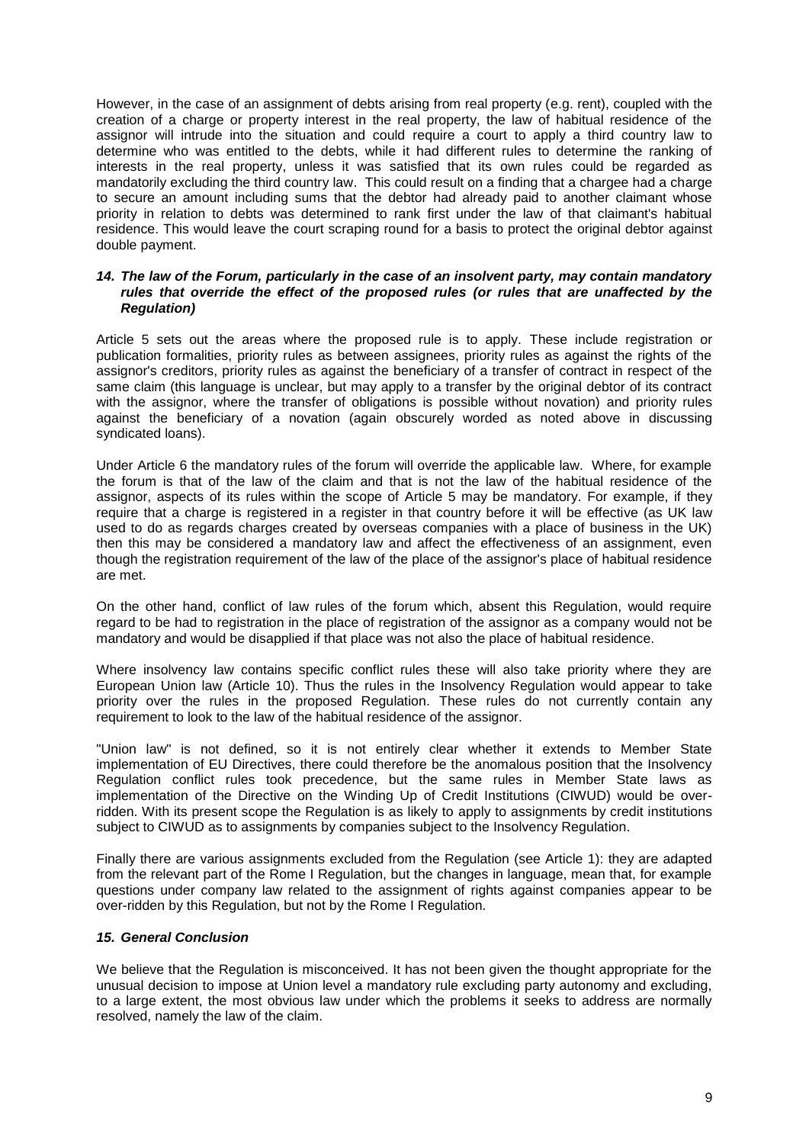However, in the case of an assignment of debts arising from real property (e.g. rent), coupled with the creation of a charge or property interest in the real property, the law of habitual residence of the assignor will intrude into the situation and could require a court to apply a third country law to determine who was entitled to the debts, while it had different rules to determine the ranking of interests in the real property, unless it was satisfied that its own rules could be regarded as mandatorily excluding the third country law. This could result on a finding that a chargee had a charge to secure an amount including sums that the debtor had already paid to another claimant whose priority in relation to debts was determined to rank first under the law of that claimant's habitual residence. This would leave the court scraping round for a basis to protect the original debtor against double payment.

# *14. The law of the Forum, particularly in the case of an insolvent party, may contain mandatory rules that override the effect of the proposed rules (or rules that are unaffected by the Regulation)*

Article 5 sets out the areas where the proposed rule is to apply. These include registration or publication formalities, priority rules as between assignees, priority rules as against the rights of the assignor's creditors, priority rules as against the beneficiary of a transfer of contract in respect of the same claim (this language is unclear, but may apply to a transfer by the original debtor of its contract with the assignor, where the transfer of obligations is possible without novation) and priority rules against the beneficiary of a novation (again obscurely worded as noted above in discussing syndicated loans).

Under Article 6 the mandatory rules of the forum will override the applicable law. Where, for example the forum is that of the law of the claim and that is not the law of the habitual residence of the assignor, aspects of its rules within the scope of Article 5 may be mandatory. For example, if they require that a charge is registered in a register in that country before it will be effective (as UK law used to do as regards charges created by overseas companies with a place of business in the UK) then this may be considered a mandatory law and affect the effectiveness of an assignment, even though the registration requirement of the law of the place of the assignor's place of habitual residence are met.

On the other hand, conflict of law rules of the forum which, absent this Regulation, would require regard to be had to registration in the place of registration of the assignor as a company would not be mandatory and would be disapplied if that place was not also the place of habitual residence.

Where insolvency law contains specific conflict rules these will also take priority where they are European Union law (Article 10). Thus the rules in the Insolvency Regulation would appear to take priority over the rules in the proposed Regulation. These rules do not currently contain any requirement to look to the law of the habitual residence of the assignor.

"Union law" is not defined, so it is not entirely clear whether it extends to Member State implementation of EU Directives, there could therefore be the anomalous position that the Insolvency Regulation conflict rules took precedence, but the same rules in Member State laws as implementation of the Directive on the Winding Up of Credit Institutions (CIWUD) would be overridden. With its present scope the Regulation is as likely to apply to assignments by credit institutions subject to CIWUD as to assignments by companies subject to the Insolvency Regulation.

Finally there are various assignments excluded from the Regulation (see Article 1): they are adapted from the relevant part of the Rome I Regulation, but the changes in language, mean that, for example questions under company law related to the assignment of rights against companies appear to be over-ridden by this Regulation, but not by the Rome I Regulation.

# *15. General Conclusion*

We believe that the Regulation is misconceived. It has not been given the thought appropriate for the unusual decision to impose at Union level a mandatory rule excluding party autonomy and excluding, to a large extent, the most obvious law under which the problems it seeks to address are normally resolved, namely the law of the claim.